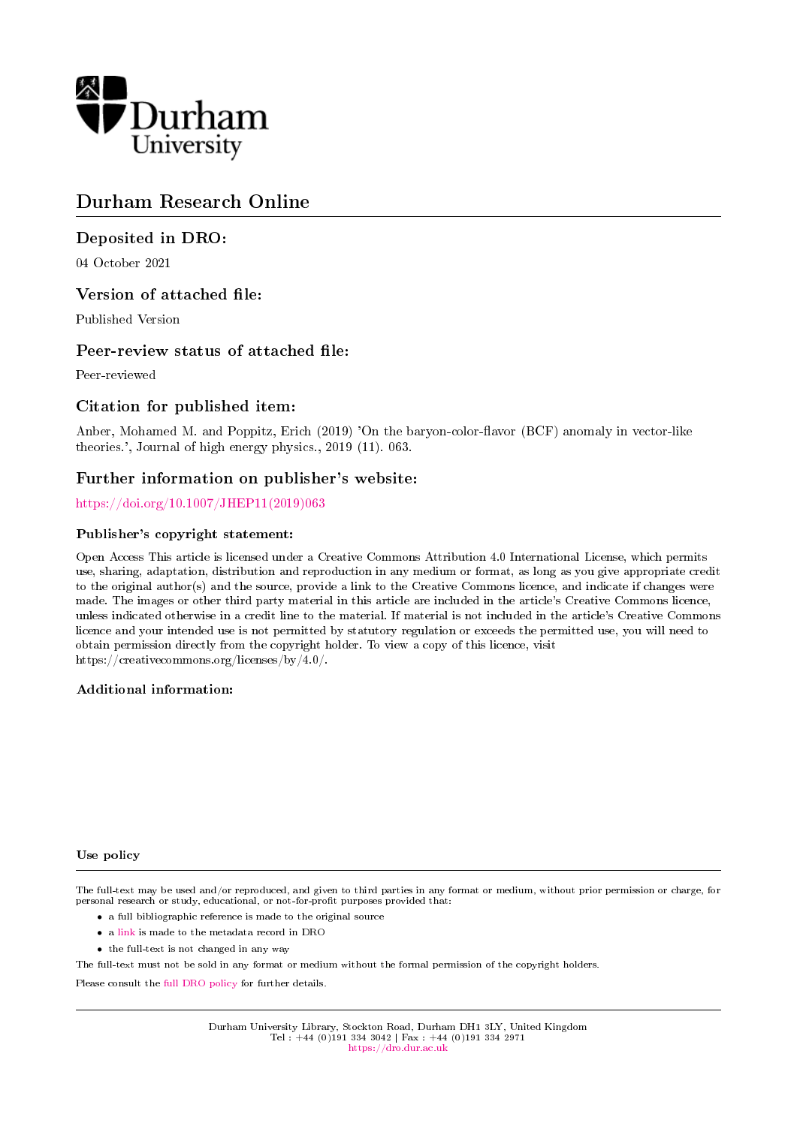

## Durham Research Online

## Deposited in DRO:

04 October 2021

## Version of attached file:

Published Version

## Peer-review status of attached file:

Peer-reviewed

## Citation for published item:

Anber, Mohamed M. and Poppitz, Erich (2019) 'On the baryon-color-flavor (BCF) anomaly in vector-like theories.', Journal of high energy physics., 2019 (11). 063.

## Further information on publisher's website:

#### [https://doi.org/10.1007/JHEP11\(2019\)063](https://doi.org/10.1007/JHEP11(2019)063)

#### Publisher's copyright statement:

Open Access This article is licensed under a Creative Commons Attribution 4.0 International License, which permits use, sharing, adaptation, distribution and reproduction in any medium or format, as long as you give appropriate credit to the original author(s) and the source, provide a link to the Creative Commons licence, and indicate if changes were made. The images or other third party material in this article are included in the article's Creative Commons licence, unless indicated otherwise in a credit line to the material. If material is not included in the article's Creative Commons licence and your intended use is not permitted by statutory regulation or exceeds the permitted use, you will need to obtain permission directly from the copyright holder. To view a copy of this licence, visit https://creativecommons.org/licenses/by/4.0/.

#### Additional information:

#### Use policy

The full-text may be used and/or reproduced, and given to third parties in any format or medium, without prior permission or charge, for personal research or study, educational, or not-for-profit purposes provided that:

- a full bibliographic reference is made to the original source
- a [link](http://dro.dur.ac.uk/34030/) is made to the metadata record in DRO
- the full-text is not changed in any way

The full-text must not be sold in any format or medium without the formal permission of the copyright holders.

Please consult the [full DRO policy](https://dro.dur.ac.uk/policies/usepolicy.pdf) for further details.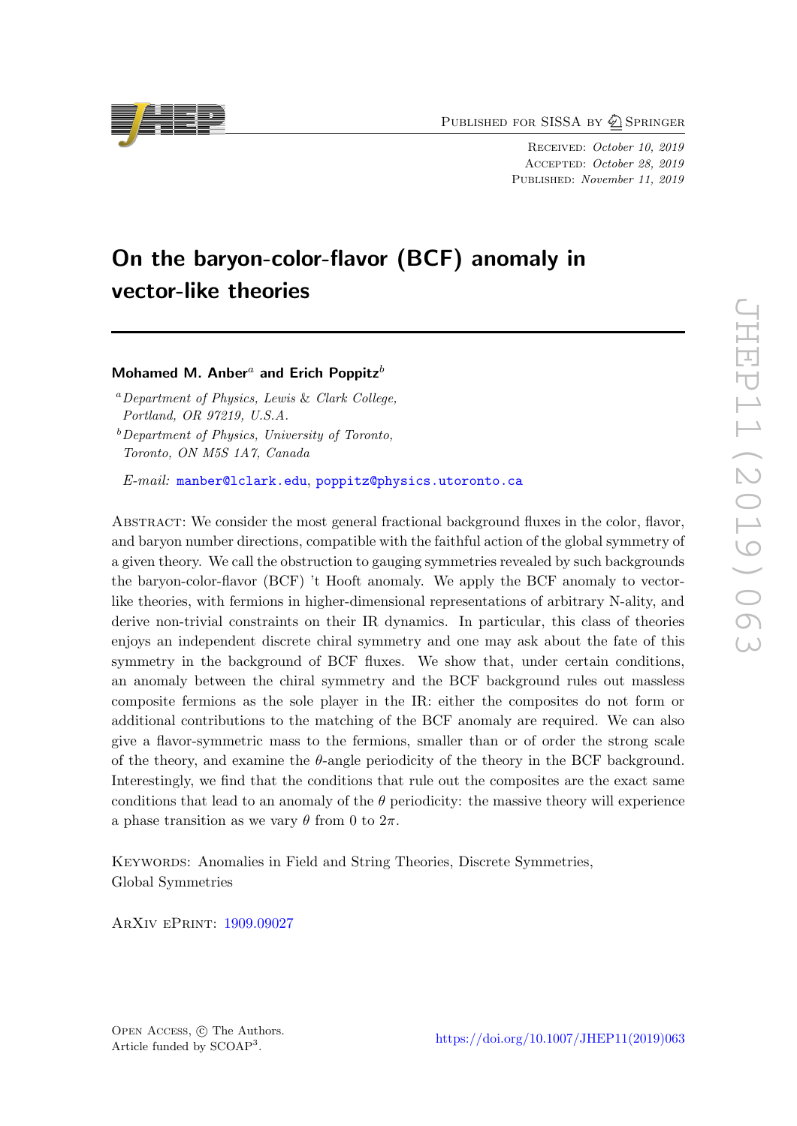PUBLISHED FOR SISSA BY 2 SPRINGER

Received: October 10, 2019 Accepted: October 28, 2019 PUBLISHED: November 11, 2019

# On the baryon-color-flavor (BCF) anomaly in vector-like theories

## Mohamed M. Anber<sup>a</sup> and Erich Poppitz<sup>b</sup>

<sup>a</sup>Department of Physics, Lewis & Clark College, Portland, OR 97219, U.S.A.  $b$  Department of Physics, University of Toronto, Toronto, ON M5S 1A7, Canada

E-mail: [manber@lclark.edu](mailto:manber@lclark.edu), [poppitz@physics.utoronto.ca](mailto:poppitz@physics.utoronto.ca)

ABSTRACT: We consider the most general fractional background fluxes in the color, flavor, and baryon number directions, compatible with the faithful action of the global symmetry of a given theory. We call the obstruction to gauging symmetries revealed by such backgrounds the baryon-color-flavor (BCF) 't Hooft anomaly. We apply the BCF anomaly to vectorlike theories, with fermions in higher-dimensional representations of arbitrary N-ality, and derive non-trivial constraints on their IR dynamics. In particular, this class of theories enjoys an independent discrete chiral symmetry and one may ask about the fate of this symmetry in the background of BCF fluxes. We show that, under certain conditions, an anomaly between the chiral symmetry and the BCF background rules out massless composite fermions as the sole player in the IR: either the composites do not form or additional contributions to the matching of the BCF anomaly are required. We can also give a flavor-symmetric mass to the fermions, smaller than or of order the strong scale of the theory, and examine the  $\theta$ -angle periodicity of the theory in the BCF background. Interestingly, we find that the conditions that rule out the composites are the exact same conditions that lead to an anomaly of the  $\theta$  periodicity: the massive theory will experience a phase transition as we vary  $\theta$  from 0 to  $2\pi$ .

Keywords: Anomalies in Field and String Theories, Discrete Symmetries, Global Symmetries

ArXiv ePrint: [1909.09027](https://arxiv.org/abs/1909.09027)



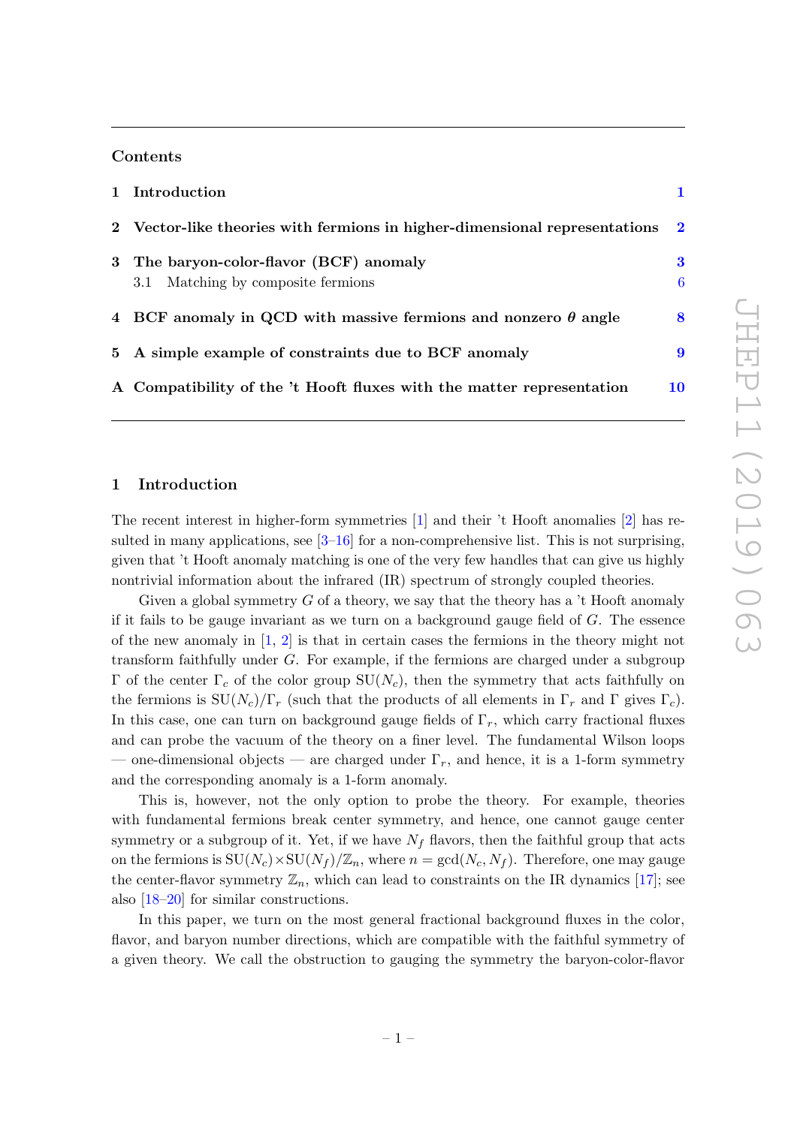#### Contents

| 1 Introduction                                                                |        |
|-------------------------------------------------------------------------------|--------|
| 2 Vector-like theories with fermions in higher-dimensional representations 2  |        |
| 3 The baryon-color-flavor (BCF) anomaly<br>3.1 Matching by composite fermions | 3<br>6 |
| 4 BCF anomaly in QCD with massive fermions and nonzero $\theta$ angle         | 8      |
| 5 A simple example of constraints due to BCF anomaly                          | 9      |
| A Compatibility of the 't Hooft fluxes with the matter representation         | 10     |

#### <span id="page-2-0"></span>1 Introduction

The recent interest in higher-form symmetries [\[1\]](#page-12-0) and their 't Hooft anomalies [\[2\]](#page-12-1) has resulted in many applications, see  $[3-16]$  $[3-16]$  for a non-comprehensive list. This is not surprising, given that 't Hooft anomaly matching is one of the very few handles that can give us highly nontrivial information about the infrared (IR) spectrum of strongly coupled theories.

Given a global symmetry  $G$  of a theory, we say that the theory has a  $\ddot{\text{t}}$  Hooft anomaly if it fails to be gauge invariant as we turn on a background gauge field of  $G$ . The essence of the new anomaly in  $[1, 2]$  $[1, 2]$  is that in certain cases the fermions in the theory might not transform faithfully under G. For example, if the fermions are charged under a subgroup Γ of the center Γ<sub>c</sub> of the color group  $SU(N_c)$ , then the symmetry that acts faithfully on the fermions is  $\text{SU}(N_c)/\Gamma_r$  (such that the products of all elements in  $\Gamma_r$  and  $\Gamma$  gives  $\Gamma_c$ ). In this case, one can turn on background gauge fields of  $\Gamma_r$ , which carry fractional fluxes and can probe the vacuum of the theory on a finer level. The fundamental Wilson loops — one-dimensional objects — are charged under  $\Gamma_r$ , and hence, it is a 1-form symmetry and the corresponding anomaly is a 1-form anomaly.

This is, however, not the only option to probe the theory. For example, theories with fundamental fermions break center symmetry, and hence, one cannot gauge center symmetry or a subgroup of it. Yet, if we have  $N_f$  flavors, then the faithful group that acts on the fermions is  $SU(N_c)\times SU(N_f)/\mathbb{Z}_n$ , where  $n = \gcd(N_c, N_f)$ . Therefore, one may gauge the center-flavor symmetry  $\mathbb{Z}_n$ , which can lead to constraints on the IR dynamics [\[17\]](#page-13-1); see also [\[18–](#page-13-2)[20\]](#page-13-3) for similar constructions.

In this paper, we turn on the most general fractional background fluxes in the color, flavor, and baryon number directions, which are compatible with the faithful symmetry of a given theory. We call the obstruction to gauging the symmetry the baryon-color-flavor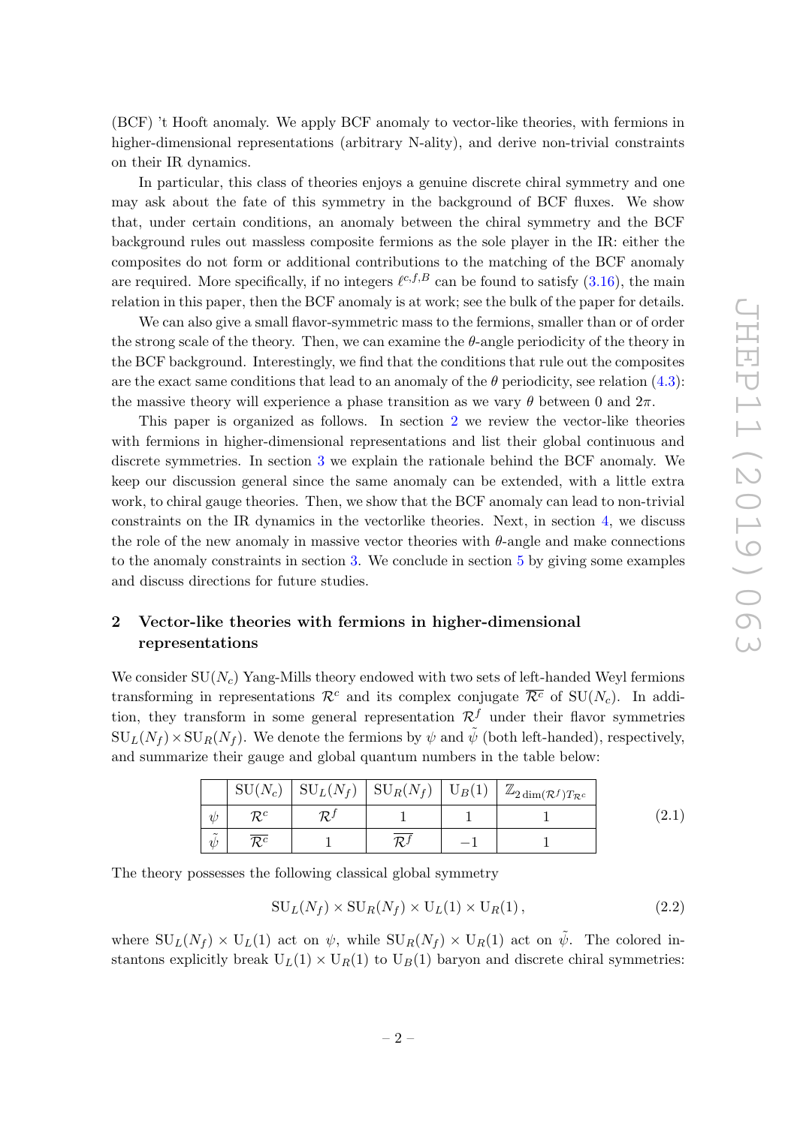(BCF) 't Hooft anomaly. We apply BCF anomaly to vector-like theories, with fermions in higher-dimensional representations (arbitrary N-ality), and derive non-trivial constraints on their IR dynamics.

In particular, this class of theories enjoys a genuine discrete chiral symmetry and one may ask about the fate of this symmetry in the background of BCF fluxes. We show that, under certain conditions, an anomaly between the chiral symmetry and the BCF background rules out massless composite fermions as the sole player in the IR: either the composites do not form or additional contributions to the matching of the BCF anomaly are required. More specifically, if no integers  $\ell^{c,f,B}$  can be found to satisfy  $(3.16)$ , the main relation in this paper, then the BCF anomaly is at work; see the bulk of the paper for details.

We can also give a small flavor-symmetric mass to the fermions, smaller than or of order the strong scale of the theory. Then, we can examine the  $\theta$ -angle periodicity of the theory in the BCF background. Interestingly, we find that the conditions that rule out the composites are the exact same conditions that lead to an anomaly of the  $\theta$  periodicity, see relation [\(4.3\)](#page-10-1): the massive theory will experience a phase transition as we vary  $\theta$  between 0 and  $2\pi$ .

This paper is organized as follows. In section [2](#page-3-0) we review the vector-like theories with fermions in higher-dimensional representations and list their global continuous and discrete symmetries. In section [3](#page-4-0) we explain the rationale behind the BCF anomaly. We keep our discussion general since the same anomaly can be extended, with a little extra work, to chiral gauge theories. Then, we show that the BCF anomaly can lead to non-trivial constraints on the IR dynamics in the vectorlike theories. Next, in section [4,](#page-9-0) we discuss the role of the new anomaly in massive vector theories with  $\theta$ -angle and make connections to the anomaly constraints in section [3.](#page-4-0) We conclude in section [5](#page-10-0) by giving some examples and discuss directions for future studies.

## <span id="page-3-0"></span>2 Vector-like theories with fermions in higher-dimensional representations

We consider  $SU(N_c)$  Yang-Mills theory endowed with two sets of left-handed Weyl fermions transforming in representations  $\mathcal{R}^c$  and its complex conjugate  $\overline{\mathcal{R}^c}$  of SU( $N_c$ ). In addition, they transform in some general representation  $\mathcal{R}^f$  under their flavor symmetries  $\text{SU}_L(N_f) \times \text{SU}_R(N_f)$ . We denote the fermions by  $\psi$  and  $\tilde{\psi}$  (both left-handed), respectively, and summarize their gauge and global quantum numbers in the table below:

|                            | $SU(N_c)$      | $\mathrm{SU}_L(N_f)$ | $\mathrm{SU}_R(N_f)$ | $U_B(1)$ | $\mathbb{Z}_{2\dim(\mathcal{R}^f)T_{\mathcal{R}^c}}$ |  |
|----------------------------|----------------|----------------------|----------------------|----------|------------------------------------------------------|--|
| W                          | $\bm{\tau}$    | $\bm{\mathcal{D}}$ . |                      |          |                                                      |  |
| $\tilde{\phantom{a}}$<br>W | $\mathcal{D}c$ |                      |                      |          |                                                      |  |

The theory possesses the following classical global symmetry

$$
SU_L(N_f) \times SU_R(N_f) \times U_L(1) \times U_R(1) ,\qquad (2.2)
$$

where  $SU_L(N_f) \times U_L(1)$  act on  $\psi$ , while  $SU_R(N_f) \times U_R(1)$  act on  $\tilde{\psi}$ . The colored instantons explicitly break  $U_L(1) \times U_R(1)$  to  $U_B(1)$  baryon and discrete chiral symmetries: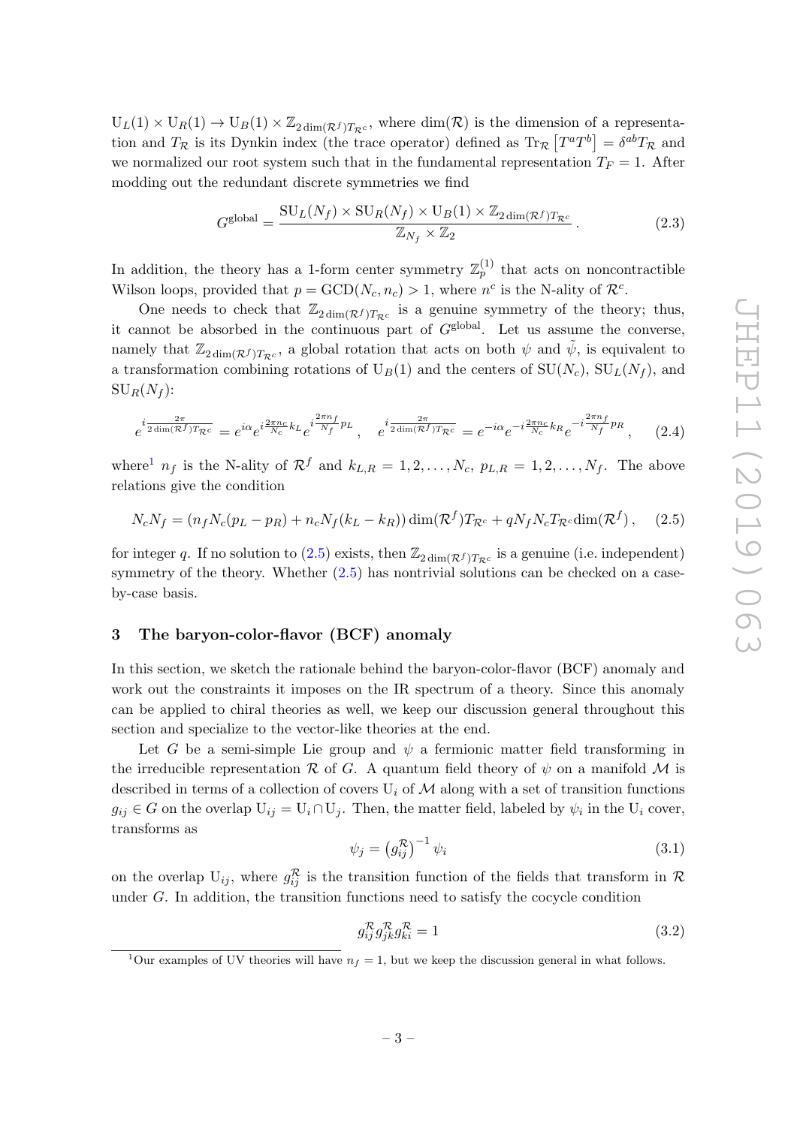$U_L(1) \times U_R(1) \to U_B(1) \times \mathbb{Z}_{2 \dim(\mathcal{R}^f) T_{\mathcal{R}^c}}$ , where  $\dim(\mathcal{R})$  is the dimension of a representation and  $T_{\mathcal{R}}$  is its Dynkin index (the trace operator) defined as  $\text{Tr}_{\mathcal{R}}[T^aT^b] = \delta^{ab}T_{\mathcal{R}}$  and we normalized our root system such that in the fundamental representation  $T_F = 1$ . After modding out the redundant discrete symmetries we find

$$
G^{\text{global}} = \frac{\text{SU}_L(N_f) \times \text{SU}_R(N_f) \times \text{U}_B(1) \times \mathbb{Z}_{2\dim(\mathcal{R}^f)T_{\mathcal{R}^c}}}{\mathbb{Z}_{N_f} \times \mathbb{Z}_2} \,. \tag{2.3}
$$

In addition, the theory has a 1-form center symmetry  $\mathbb{Z}_p^{(1)}$  that acts on noncontractible Wilson loops, provided that  $p = GCD(N_c, n_c) > 1$ , where  $n^c$  is the N-ality of  $\mathcal{R}^c$ .

One needs to check that  $\mathbb{Z}_{2\dim(\mathcal{R}^f)T_{\mathcal{R}^c}}$  is a genuine symmetry of the theory; thus, it cannot be absorbed in the continuous part of  $G<sup>global</sup>$ . Let us assume the converse, namely that  $\mathbb{Z}_{2\dim(\mathcal{R}^f)T_{\mathcal{R}^c}}$ , a global rotation that acts on both  $\psi$  and  $\tilde{\psi}$ , is equivalent to a transformation combining rotations of  $U_B(1)$  and the centers of  $SU(N_c)$ ,  $SU_L(N_f)$ , and  $\mathrm{SU}_R(N_f)$ :

$$
e^{i\frac{2\pi}{2\dim(\mathcal{R}^f)\mathcal{T}_{\mathcal{R}^c}}}=e^{i\alpha}e^{i\frac{2\pi n_c}{N_c}k_L}e^{i\frac{2\pi n_f}{N_f}p_L},\quad e^{i\frac{2\pi}{2\dim(\mathcal{R}^f)\mathcal{T}_{\mathcal{R}^c}}}=e^{-i\alpha}e^{-i\frac{2\pi n_c}{N_c}k_R}e^{-i\frac{2\pi n_f}{N_f}p_R},\quad(2.4)
$$

where<sup>[1](#page-4-1)</sup>  $n_f$  is the N-ality of  $\mathcal{R}^f$  and  $k_{L,R} = 1, 2, \ldots, N_c$ ,  $p_{L,R} = 1, 2, \ldots, N_f$ . The above relations give the condition

<span id="page-4-2"></span>
$$
N_c N_f = (n_f N_c (p_L - p_R) + n_c N_f (k_L - k_R)) \dim(\mathcal{R}^f) T_{\mathcal{R}^c} + q N_f N_c T_{\mathcal{R}^c} \dim(\mathcal{R}^f), \quad (2.5)
$$

for integer q. If no solution to  $(2.5)$  exists, then  $\mathbb{Z}_{2 \dim(\mathcal{R}^f) T_{\mathcal{R}^c}}$  is a genuine (i.e. independent) symmetry of the theory. Whether  $(2.5)$  has nontrivial solutions can be checked on a caseby-case basis.

#### <span id="page-4-0"></span>3 The baryon-color-flavor (BCF) anomaly

In this section, we sketch the rationale behind the baryon-color-flavor (BCF) anomaly and work out the constraints it imposes on the IR spectrum of a theory. Since this anomaly can be applied to chiral theories as well, we keep our discussion general throughout this section and specialize to the vector-like theories at the end.

Let G be a semi-simple Lie group and  $\psi$  a fermionic matter field transforming in the irreducible representation R of G. A quantum field theory of  $\psi$  on a manifold M is described in terms of a collection of covers  $U_i$  of M along with a set of transition functions  $g_{ij} \in G$  on the overlap  $U_{ij} = U_i \cap U_j$ . Then, the matter field, labeled by  $\psi_i$  in the  $U_i$  cover, transforms as

$$
\psi_j = \left(g_{ij}^{\mathcal{R}}\right)^{-1} \psi_i \tag{3.1}
$$

on the overlap  $U_{ij}$ , where  $g_{ij}^{\mathcal{R}}$  is the transition function of the fields that transform in  $\mathcal{R}$ under G. In addition, the transition functions need to satisfy the cocycle condition

<span id="page-4-3"></span>
$$
g_{ij}^{\mathcal{R}} g_{jk}^{\mathcal{R}} g_{ki}^{\mathcal{R}} = 1 \tag{3.2}
$$

<span id="page-4-1"></span><sup>&</sup>lt;sup>1</sup>Our examples of UV theories will have  $n_f = 1$ , but we keep the discussion general in what follows.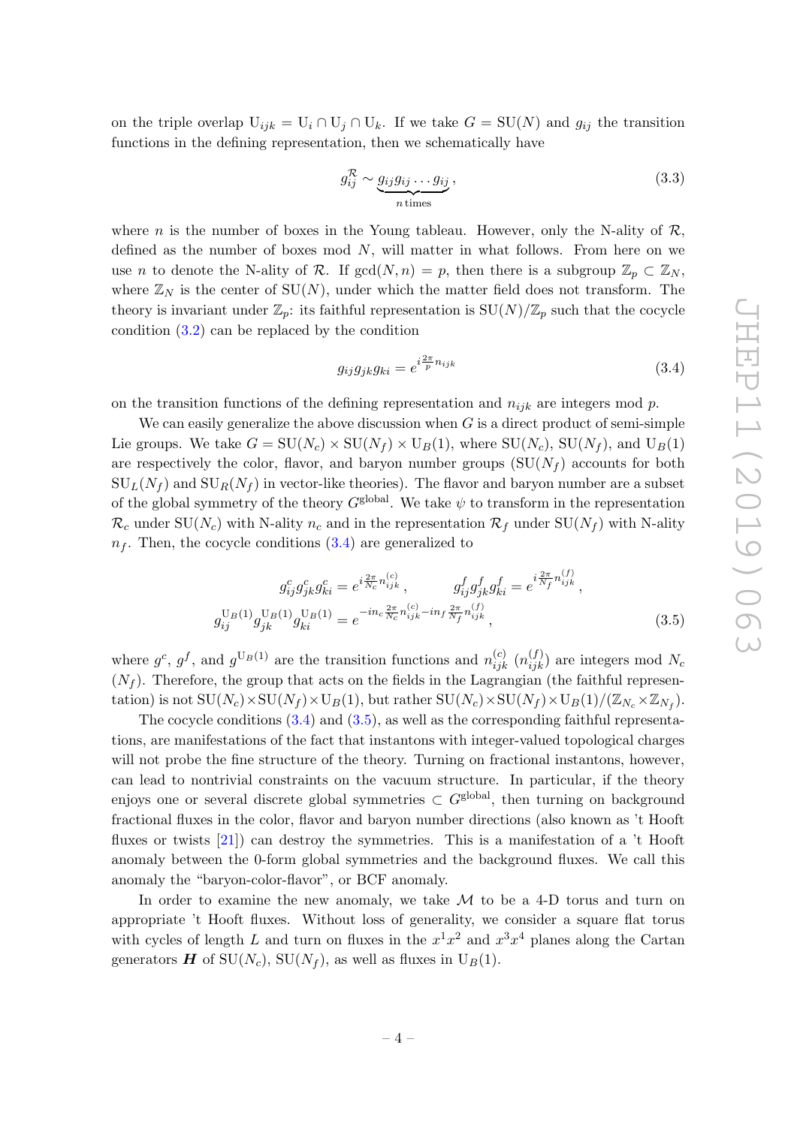on the triple overlap  $U_{ijk} = U_i \cap U_j \cap U_k$ . If we take  $G = SU(N)$  and  $g_{ij}$  the transition functions in the defining representation, then we schematically have

$$
g_{ij}^{\mathcal{R}} \sim \underbrace{g_{ij}g_{ij}\dots g_{ij}}_{n \text{ times}},\tag{3.3}
$$

where n is the number of boxes in the Young tableau. However, only the N-ality of  $\mathcal{R}$ , defined as the number of boxes mod  $N$ , will matter in what follows. From here on we use *n* to denote the N-ality of R. If  $gcd(N, n) = p$ , then there is a subgroup  $\mathbb{Z}_p \subset \mathbb{Z}_N$ , where  $\mathbb{Z}_N$  is the center of SU(N), under which the matter field does not transform. The theory is invariant under  $\mathbb{Z}_p$ : its faithful representation is  $SU(N)/\mathbb{Z}_p$  such that the cocycle condition [\(3.2\)](#page-4-3) can be replaced by the condition

<span id="page-5-1"></span><span id="page-5-0"></span>
$$
g_{ij}g_{jk}g_{ki} = e^{i\frac{2\pi}{p}n_{ijk}}\tag{3.4}
$$

on the transition functions of the defining representation and  $n_{ijk}$  are integers mod p.

We can easily generalize the above discussion when  $G$  is a direct product of semi-simple Lie groups. We take  $G = SU(N_c) \times SU(N_f) \times U_B(1)$ , where  $SU(N_c)$ ,  $SU(N_f)$ , and  $U_B(1)$ are respectively the color, flavor, and baryon number groups  $(SU(N_f)$  accounts for both  $\text{SU}_L(N_f)$  and  $\text{SU}_R(N_f)$  in vector-like theories). The flavor and baryon number are a subset of the global symmetry of the theory  $G^{\text{global}}$ . We take  $\psi$  to transform in the representation  $\mathcal{R}_c$  under SU(N<sub>c</sub>) with N-ality  $n_c$  and in the representation  $\mathcal{R}_f$  under SU(N<sub>f</sub>) with N-ality  $n_f$ . Then, the cocycle conditions  $(3.4)$  are generalized to

$$
g_{ij}^{c}g_{jk}^{c}g_{ki}^{c} = e^{i\frac{2\pi}{N_c}n_{ijk}^{(c)}}, \qquad g_{ij}^{f}g_{jk}^{f}g_{ki}^{f} = e^{i\frac{2\pi}{N_f}n_{ijk}^{(f)}},
$$

$$
g_{ij}^{\text{U}_B(1)}g_{jk}^{\text{U}_B(1)}g_{ki}^{\text{U}_B(1)} = e^{-in_c\frac{2\pi}{N_c}n_{ijk}^{(c)}-in_f\frac{2\pi}{N_f}n_{ijk}^{(f)}},
$$
(3.5)

where  $g^c$ ,  $g^f$ , and  $g^{U_B(1)}$  are the transition functions and  $n_{ijk}^{(c)}$   $(n_{ijk}^{(f)})$  are integers mod  $N_c$  $(N_f)$ . Therefore, the group that acts on the fields in the Lagrangian (the faithful representation) is not  $\text{SU}(N_c) \times \text{SU}(N_f) \times \text{U}_B(1)$ , but rather  $\text{SU}(N_c) \times \text{SU}(N_f) \times \text{U}_B(1)/(\mathbb{Z}_{N_c} \times \mathbb{Z}_{N_f})$ .

The cocycle conditions  $(3.4)$  and  $(3.5)$ , as well as the corresponding faithful representations, are manifestations of the fact that instantons with integer-valued topological charges will not probe the fine structure of the theory. Turning on fractional instantons, however, can lead to nontrivial constraints on the vacuum structure. In particular, if the theory enjoys one or several discrete global symmetries  $\subset G^{\text{global}}$ , then turning on background fractional fluxes in the color, flavor and baryon number directions (also known as 't Hooft fluxes or twists [\[21\]](#page-13-4)) can destroy the symmetries. This is a manifestation of a 't Hooft anomaly between the 0-form global symmetries and the background fluxes. We call this anomaly the "baryon-color-flavor", or BCF anomaly.

In order to examine the new anomaly, we take  $\mathcal M$  to be a 4-D torus and turn on appropriate 't Hooft fluxes. Without loss of generality, we consider a square flat torus with cycles of length L and turn on fluxes in the  $x^1x^2$  and  $x^3x^4$  planes along the Cartan generators  $\boldsymbol{H}$  of SU(N<sub>c</sub>), SU(N<sub>f</sub>), as well as fluxes in U<sub>B</sub>(1).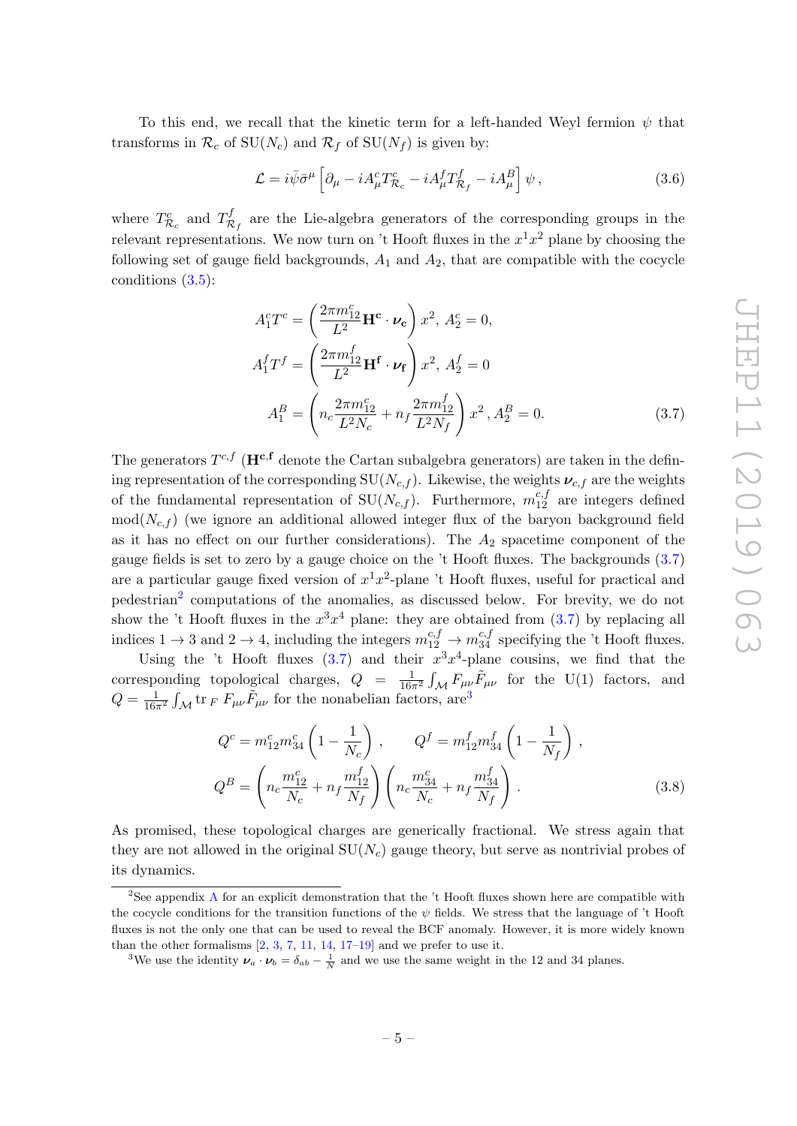To this end, we recall that the kinetic term for a left-handed Weyl fermion  $\psi$  that transforms in  $\mathcal{R}_c$  of SU( $N_c$ ) and  $\mathcal{R}_f$  of SU( $N_f$ ) is given by:

$$
\mathcal{L} = i\bar{\psi}\bar{\sigma}^{\mu} \left[ \partial_{\mu} - iA_{\mu}^{c}T_{\mathcal{R}_{c}}^{c} - iA_{\mu}^{f}T_{\mathcal{R}_{f}}^{f} - iA_{\mu}^{B} \right] \psi , \qquad (3.6)
$$

where  $T^c_{\mathcal{R}_c}$  and  $T^f_{\mathcal{R}}$  $\mathcal{R}_f$  are the Lie-algebra generators of the corresponding groups in the relevant representations. We now turn on 't Hooft fluxes in the  $x^1x^2$  plane by choosing the following set of gauge field backgrounds,  $A_1$  and  $A_2$ , that are compatible with the cocycle conditions [\(3.5\)](#page-5-1):

<span id="page-6-0"></span>
$$
A_1^c T^c = \left(\frac{2\pi m_{12}^c}{L^2} \mathbf{H}^c \cdot \boldsymbol{\nu_c}\right) x^2, A_2^c = 0,
$$
  
\n
$$
A_1^f T^f = \left(\frac{2\pi m_{12}^f}{L^2} \mathbf{H}^f \cdot \boldsymbol{\nu_f}\right) x^2, A_2^f = 0
$$
  
\n
$$
A_1^B = \left(n_c \frac{2\pi m_{12}^c}{L^2 N_c} + n_f \frac{2\pi m_{12}^f}{L^2 N_f}\right) x^2, A_2^B = 0.
$$
\n(3.7)

The generators  $T^{c,f}$  ( $\mathbf{H}^{c,f}$  denote the Cartan subalgebra generators) are taken in the defining representation of the corresponding  $SU(N_{c,f})$ . Likewise, the weights  $\nu_{c,f}$  are the weights of the fundamental representation of  $SU(N_{c,f})$ . Furthermore,  $m_{12}^{c,f}$  are integers defined  $mod(N_{c,f})$  (we ignore an additional allowed integer flux of the baryon background field as it has no effect on our further considerations). The  $A_2$  spacetime component of the gauge fields is set to zero by a gauge choice on the 't Hooft fluxes. The backgrounds [\(3.7\)](#page-6-0) are a particular gauge fixed version of  $x^1x^2$ -plane 't Hooft fluxes, useful for practical and pedestrian<sup>[2](#page-6-1)</sup> computations of the anomalies, as discussed below. For brevity, we do not show the 't Hooft fluxes in the  $x^3x^4$  plane: they are obtained from  $(3.7)$  by replacing all indices  $1 \to 3$  and  $2 \to 4$ , including the integers  $m_{12}^{c,f} \to m_{34}^{c,f}$  specifying the 't Hooft fluxes.

Using the 't Hooft fluxes [\(3.7\)](#page-6-0) and their  $x^3x^4$ -plane cousins, we find that the corresponding topological charges,  $Q = \frac{1}{16\pi^2} \int_{\mathcal{M}} F_{\mu\nu} \tilde{F}_{\mu\nu}$  for the U(1) factors, and  $Q = \frac{1}{16\pi^2} \int_{\mathcal{M}} \text{tr}_F F_{\mu\nu} \tilde{F}_{\mu\nu}$  for the nonabelian factors, are<sup>[3](#page-6-2)</sup>

<span id="page-6-3"></span>
$$
Q^{c} = m_{12}^{c} m_{34}^{c} \left( 1 - \frac{1}{N_c} \right) , \qquad Q^{f} = m_{12}^{f} m_{34}^{f} \left( 1 - \frac{1}{N_f} \right) ,
$$
  
\n
$$
Q^{B} = \left( n_c \frac{m_{12}^{c}}{N_c} + n_f \frac{m_{12}^{f}}{N_f} \right) \left( n_c \frac{m_{34}^{c}}{N_c} + n_f \frac{m_{34}^{f}}{N_f} \right) .
$$
\n(3.8)

As promised, these topological charges are generically fractional. We stress again that they are not allowed in the original  $SU(N_c)$  gauge theory, but serve as nontrivial probes of its dynamics.

<span id="page-6-1"></span><sup>&</sup>lt;sup>2</sup>See appendix [A](#page-11-0) for an explicit demonstration that the  $\dot{\text{t}}$  Hooft fluxes shown here are compatible with the cocycle conditions for the transition functions of the  $\psi$  fields. We stress that the language of 't Hooft fluxes is not the only one that can be used to reveal the BCF anomaly. However, it is more widely known than the other formalisms  $[2, 3, 7, 11, 14, 17-19]$  $[2, 3, 7, 11, 14, 17-19]$  $[2, 3, 7, 11, 14, 17-19]$  $[2, 3, 7, 11, 14, 17-19]$  $[2, 3, 7, 11, 14, 17-19]$  $[2, 3, 7, 11, 14, 17-19]$  $[2, 3, 7, 11, 14, 17-19]$  $[2, 3, 7, 11, 14, 17-19]$  $[2, 3, 7, 11, 14, 17-19]$  $[2, 3, 7, 11, 14, 17-19]$  $[2, 3, 7, 11, 14, 17-19]$  $[2, 3, 7, 11, 14, 17-19]$  and we prefer to use it.

<span id="page-6-2"></span><sup>&</sup>lt;sup>3</sup>We use the identity  $v_a \cdot v_b = \delta_{ab} - \frac{1}{N}$  and we use the same weight in the 12 and 34 planes.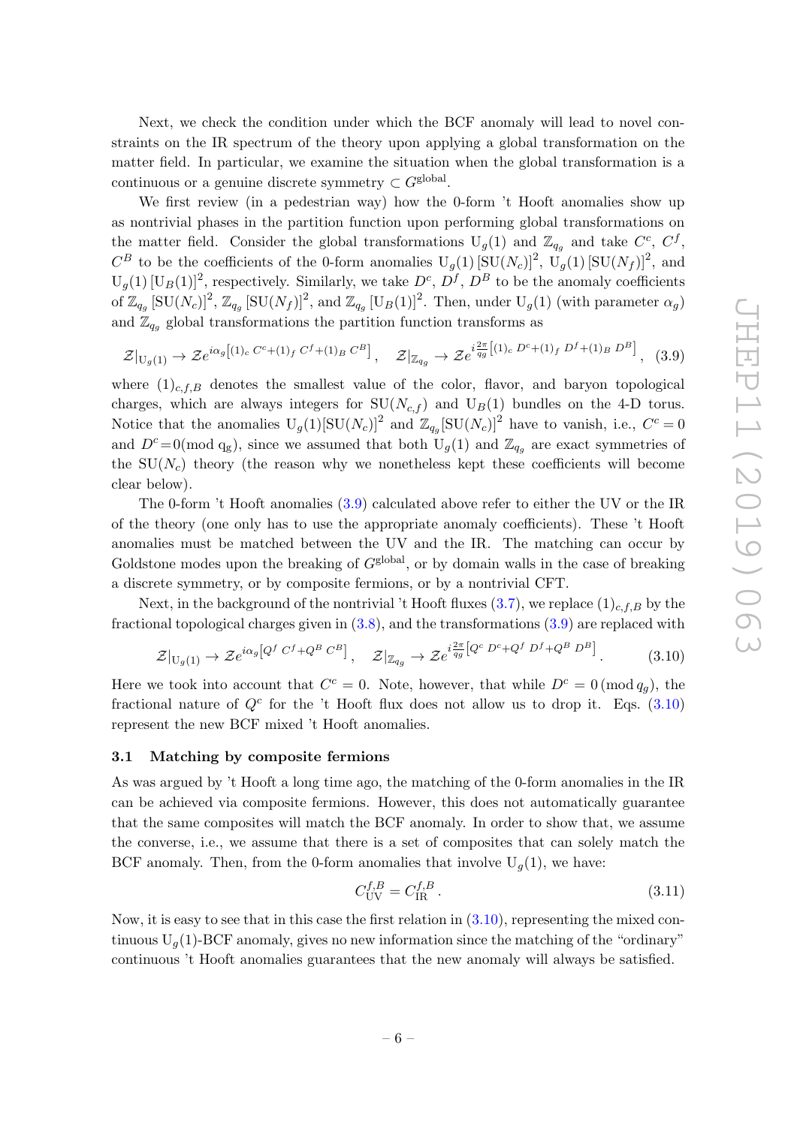Next, we check the condition under which the BCF anomaly will lead to novel constraints on the IR spectrum of the theory upon applying a global transformation on the matter field. In particular, we examine the situation when the global transformation is a continuous or a genuine discrete symmetry  $\subset G^{\text{global}}$ .

We first review (in a pedestrian way) how the 0-form 't Hooft anomalies show up as nontrivial phases in the partition function upon performing global transformations on the matter field. Consider the global transformations  $U_g(1)$  and  $\mathbb{Z}_{q_g}$  and take  $C^c$ ,  $C^f$ ,  $C^B$  to be the coefficients of the 0-form anomalies  $U_g(1)$   $[SU(N_c)]^2$ ,  $U_g(1)$   $[SU(N_f)]^2$ , and  $U_g(1)$   $[U_B(1)]^2$ , respectively. Similarly, we take  $D^c$ ,  $D^f$ ,  $D^B$  to be the anomaly coefficients of  $\mathbb{Z}_{q_g} [\text{SU}(N_c)]^2$ ,  $\mathbb{Z}_{q_g} [\text{SU}(N_f)]^2$ , and  $\mathbb{Z}_{q_g} [\text{U}_B(1)]^2$ . Then, under  $\text{U}_g(1)$  (with parameter  $\alpha_g$ ) and  $\mathbb{Z}_{q_q}$  global transformations the partition function transforms as

<span id="page-7-1"></span>
$$
\mathcal{Z}|_{U_g(1)} \to \mathcal{Z}e^{i\alpha_g[(1)_c C^c + (1)_f C^f + (1)_B C^B]}, \quad \mathcal{Z}|_{\mathbb{Z}_{q_g}} \to \mathcal{Z}e^{i\frac{2\pi}{q_g}[(1)_c D^c + (1)_f D^f + (1)_B D^B]}, \quad (3.9)
$$

where  $(1)_{c,f,B}$  denotes the smallest value of the color, flavor, and baryon topological charges, which are always integers for  $SU(N_{c,f})$  and  $U_B(1)$  bundles on the 4-D torus. Notice that the anomalies  $U_g(1)[SU(N_c)]^2$  and  $\mathbb{Z}_{q_g}[SU(N_c)]^2$  have to vanish, i.e.,  $C^c = 0$ and  $D^c=0 \pmod{q_g}$ , since we assumed that both  $U_g(1)$  and  $\mathbb{Z}_{q_g}$  are exact symmetries of the  $SU(N_c)$  theory (the reason why we nonetheless kept these coefficients will become clear below).

The 0-form 't Hooft anomalies [\(3.9\)](#page-7-1) calculated above refer to either the UV or the IR of the theory (one only has to use the appropriate anomaly coefficients). These 't Hooft anomalies must be matched between the UV and the IR. The matching can occur by Goldstone modes upon the breaking of  $G<sup>global</sup>$ , or by domain walls in the case of breaking a discrete symmetry, or by composite fermions, or by a nontrivial CFT.

Next, in the background of the nontrivial 't Hooft fluxes  $(3.7)$ , we replace  $(1)_{c,f,B}$  by the fractional topological charges given in  $(3.8)$ , and the transformations  $(3.9)$  are replaced with

<span id="page-7-2"></span>
$$
\mathcal{Z}|_{U_g(1)} \to \mathcal{Z}e^{i\alpha_g\left[Q^f C^f + Q^B C^B\right]}, \quad \mathcal{Z}|_{\mathbb{Z}_{q_g}} \to \mathcal{Z}e^{i\frac{2\pi}{q_g}\left[Q^c D^c + Q^f D^f + Q^B D^B\right]}.
$$
 (3.10)

Here we took into account that  $C^c = 0$ . Note, however, that while  $D^c = 0 \pmod{q_g}$ , the fractional nature of  $Q^c$  for the 't Hooft flux does not allow us to drop it. Eqs.  $(3.10)$ represent the new BCF mixed 't Hooft anomalies.

#### <span id="page-7-0"></span>3.1 Matching by composite fermions

As was argued by 't Hooft a long time ago, the matching of the 0-form anomalies in the IR can be achieved via composite fermions. However, this does not automatically guarantee that the same composites will match the BCF anomaly. In order to show that, we assume the converse, i.e., we assume that there is a set of composites that can solely match the BCF anomaly. Then, from the 0-form anomalies that involve  $U_q(1)$ , we have:

$$
C_{\rm UV}^{f,B} = C_{\rm IR}^{f,B} \,. \tag{3.11}
$$

Now, it is easy to see that in this case the first relation in  $(3.10)$ , representing the mixed continuous  $U_q(1)$ -BCF anomaly, gives no new information since the matching of the "ordinary" continuous 't Hooft anomalies guarantees that the new anomaly will always be satisfied.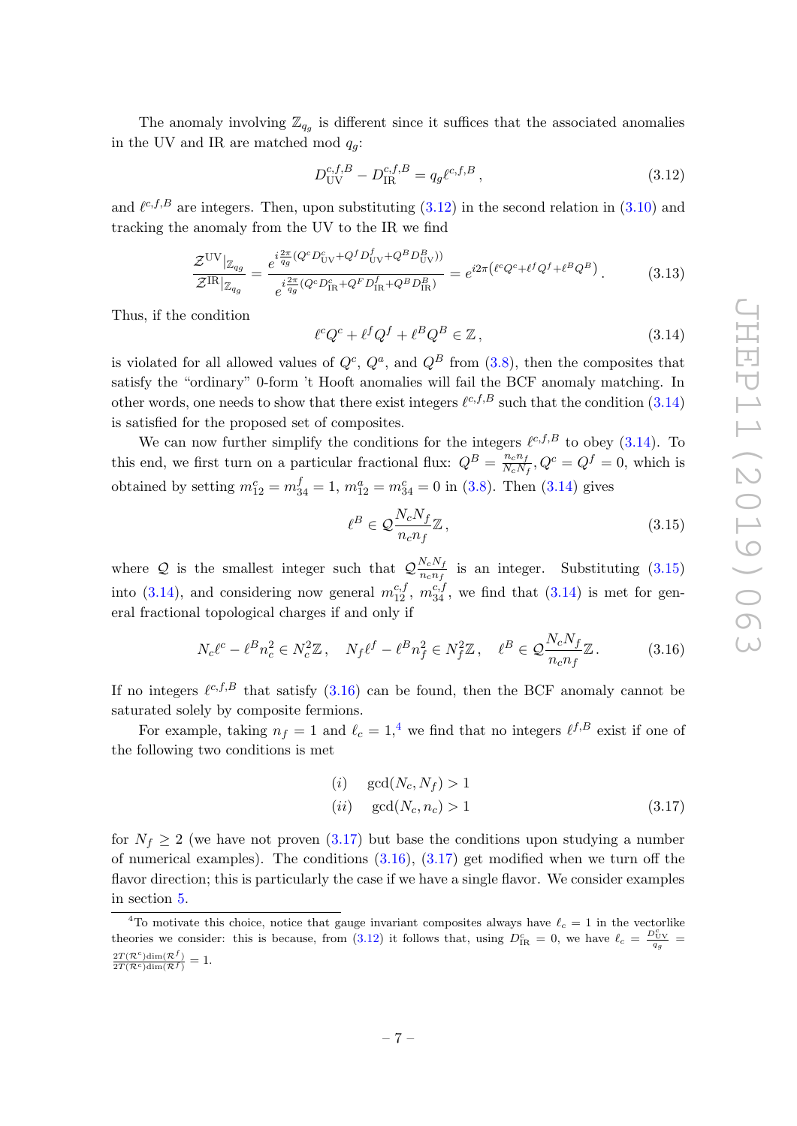The anomaly involving  $\mathbb{Z}_{q_g}$  is different since it suffices that the associated anomalies in the UV and IR are matched mod  $q_q$ :

<span id="page-8-1"></span>
$$
D_{\rm UV}^{c,f,B} - D_{\rm IR}^{c,f,B} = q_g \ell^{c,f,B} \,, \tag{3.12}
$$

and  $\ell^{c,f,B}$  are integers. Then, upon substituting  $(3.12)$  in the second relation in  $(3.10)$  and tracking the anomaly from the UV to the IR we find

$$
\frac{\mathcal{Z}^{\text{UV}}|_{\mathbb{Z}_{q_g}}}{\mathcal{Z}^{\text{IR}}|_{\mathbb{Z}_{q_g}}} = \frac{e^{i\frac{2\pi}{q_g}(Q^c D_{\text{UV}}^c + Q^f D_{\text{UV}}^f + Q^B D_{\text{UV}}^B)}}{e^{i\frac{2\pi}{q_g}(Q^c D_{\text{IR}}^c + Q^F D_{\text{IR}}^f + Q^B D_{\text{IR}}^B)}} = e^{i2\pi \left(\ell^c Q^c + \ell^f Q^f + \ell^B Q^B\right)}.
$$
\n(3.13)

Thus, if the condition

<span id="page-8-2"></span>
$$
\ell^c Q^c + \ell^f Q^f + \ell^B Q^B \in \mathbb{Z},\tag{3.14}
$$

is violated for all allowed values of  $Q^c$ ,  $Q^a$ , and  $Q^B$  from  $(3.8)$ , then the composites that satisfy the "ordinary" 0-form 't Hooft anomalies will fail the BCF anomaly matching. In other words, one needs to show that there exist integers  $\ell^{c,f,B}$  such that the condition  $(3.14)$ is satisfied for the proposed set of composites.

We can now further simplify the conditions for the integers  $\ell^{c,f,B}$  to obey [\(3.14\)](#page-8-2). To this end, we first turn on a particular fractional flux:  $Q^B = \frac{n_c n_f}{N_c N}$  $\frac{n_c n_f}{N_c N_f}$ ,  $Q^c = Q^f = 0$ , which is obtained by setting  $m_{12}^c = m_{34}^f = 1$ ,  $m_{12}^a = m_{34}^c = 0$  in [\(3.8\)](#page-6-3). Then [\(3.14\)](#page-8-2) gives

<span id="page-8-3"></span>
$$
\ell^B \in \mathcal{Q} \frac{N_c N_f}{n_c n_f} \mathbb{Z},\tag{3.15}
$$

where Q is the smallest integer such that  $\mathcal{Q}_{\frac{n}{n}}^{\frac{N_c}{N_f}}$  $\frac{N_c N_f}{n_c n_f}$  is an integer. Substituting [\(3.15\)](#page-8-3) into [\(3.14\)](#page-8-2), and considering now general  $m_{12}^{c,f}$ ,  $m_{34}^{c,f}$ , we find that (3.14) is met for general fractional topological charges if and only if

<span id="page-8-0"></span>
$$
N_c \ell^c - \ell^B n_c^2 \in N_c^2 \mathbb{Z}, \quad N_f \ell^f - \ell^B n_f^2 \in N_f^2 \mathbb{Z}, \quad \ell^B \in \mathcal{Q} \frac{N_c N_f}{n_c n_f} \mathbb{Z}. \tag{3.16}
$$

If no integers  $\ell^{c,f,B}$  that satisfy  $(3.16)$  can be found, then the BCF anomaly cannot be saturated solely by composite fermions.

For example, taking  $n_f = 1$  and  $\ell_c = 1,^4$  $\ell_c = 1,^4$  we find that no integers  $\ell^{f,B}$  exist if one of the following two conditions is met

<span id="page-8-5"></span>
$$
(i) \quad \gcd(N_c, N_f) > 1
$$
  
\n
$$
(ii) \quad \gcd(N_c, n_c) > 1
$$
\n
$$
(3.17)
$$

for  $N_f \geq 2$  (we have not proven  $(3.17)$  but base the conditions upon studying a number of numerical examples). The conditions  $(3.16)$ ,  $(3.17)$  get modified when we turn off the flavor direction; this is particularly the case if we have a single flavor. We consider examples in section [5.](#page-10-0)

<span id="page-8-4"></span><sup>&</sup>lt;sup>4</sup>To motivate this choice, notice that gauge invariant composites always have  $\ell_c = 1$  in the vectorlike theories we consider: this is because, from [\(3.12\)](#page-8-1) it follows that, using  $D_{IR}^c = 0$ , we have  $\ell_c = \frac{D_{UV}^c}{q_g}$  $\frac{2T(\mathcal{R}^c)\dim(\mathcal{R}^f)}{2T(\mathcal{R}^c)\dim(\mathcal{R}^f)}=1.$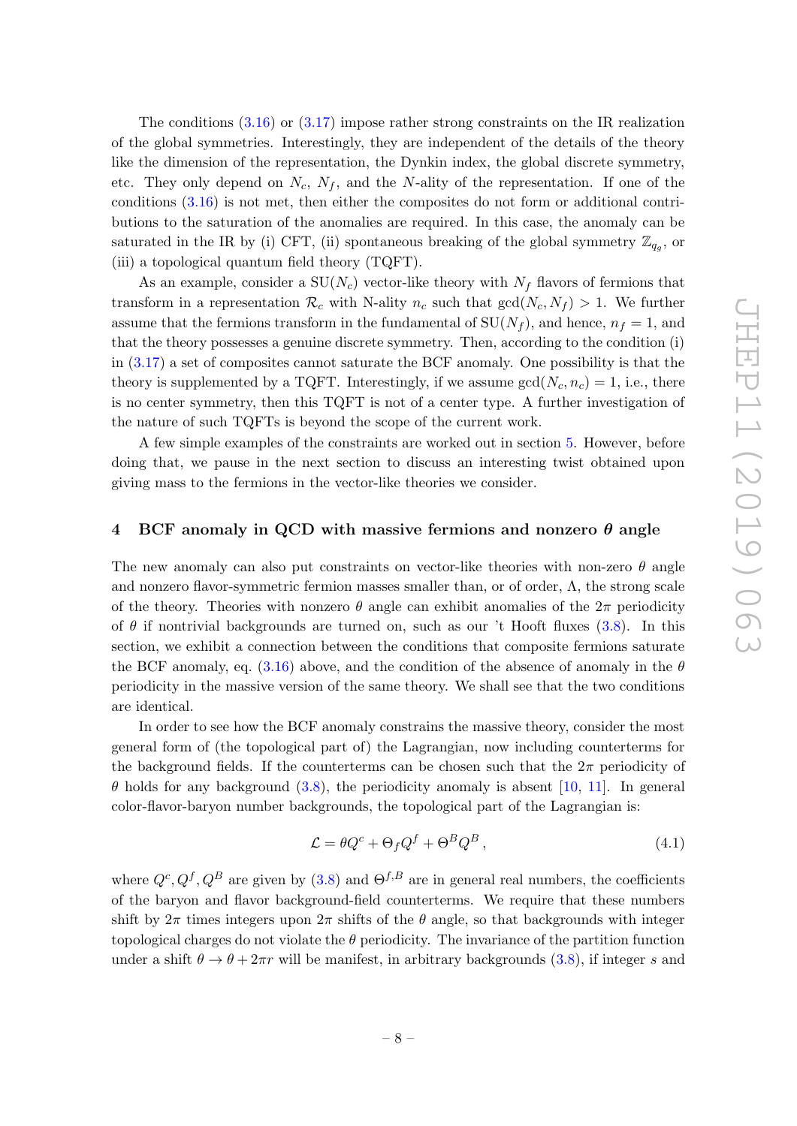The conditions  $(3.16)$  or  $(3.17)$  impose rather strong constraints on the IR realization of the global symmetries. Interestingly, they are independent of the details of the theory like the dimension of the representation, the Dynkin index, the global discrete symmetry, etc. They only depend on  $N_c$ ,  $N_f$ , and the N-ality of the representation. If one of the conditions [\(3.16\)](#page-8-0) is not met, then either the composites do not form or additional contributions to the saturation of the anomalies are required. In this case, the anomaly can be saturated in the IR by (i) CFT, (ii) spontaneous breaking of the global symmetry  $\mathbb{Z}_{q_g}$ , or (iii) a topological quantum field theory (TQFT).

As an example, consider a  $SU(N_c)$  vector-like theory with  $N_f$  flavors of fermions that transform in a representation  $\mathcal{R}_c$  with N-ality  $n_c$  such that  $gcd(N_c, N_f) > 1$ . We further assume that the fermions transform in the fundamental of  $SU(N_f)$ , and hence,  $n_f = 1$ , and that the theory possesses a genuine discrete symmetry. Then, according to the condition (i) in [\(3.17\)](#page-8-5) a set of composites cannot saturate the BCF anomaly. One possibility is that the theory is supplemented by a TQFT. Interestingly, if we assume  $gcd(N_c, n_c) = 1$ , i.e., there is no center symmetry, then this TQFT is not of a center type. A further investigation of the nature of such TQFTs is beyond the scope of the current work.

A few simple examples of the constraints are worked out in section [5.](#page-10-0) However, before doing that, we pause in the next section to discuss an interesting twist obtained upon giving mass to the fermions in the vector-like theories we consider.

#### <span id="page-9-0"></span>4 BCF anomaly in QCD with massive fermions and nonzero  $\theta$  angle

The new anomaly can also put constraints on vector-like theories with non-zero  $\theta$  angle and nonzero flavor-symmetric fermion masses smaller than, or of order,  $\Lambda$ , the strong scale of the theory. Theories with nonzero  $\theta$  angle can exhibit anomalies of the  $2\pi$  periodicity of  $\theta$  if nontrivial backgrounds are turned on, such as our 't Hooft fluxes [\(3.8\)](#page-6-3). In this section, we exhibit a connection between the conditions that composite fermions saturate the BCF anomaly, eq.  $(3.16)$  above, and the condition of the absence of anomaly in the  $\theta$ periodicity in the massive version of the same theory. We shall see that the two conditions are identical.

In order to see how the BCF anomaly constrains the massive theory, consider the most general form of (the topological part of) the Lagrangian, now including counterterms for the background fields. If the counterterms can be chosen such that the  $2\pi$  periodicity of  $\theta$  holds for any background [\(3.8\)](#page-6-3), the periodicity anomaly is absent [\[10,](#page-13-8) [11\]](#page-13-5). In general color-flavor-baryon number backgrounds, the topological part of the Lagrangian is:

$$
\mathcal{L} = \theta Q^c + \Theta_f Q^f + \Theta^B Q^B, \qquad (4.1)
$$

where  $Q^c, Q^f, Q^B$  are given by [\(3.8\)](#page-6-3) and  $\Theta^{f,B}$  are in general real numbers, the coefficients of the baryon and flavor background-field counterterms. We require that these numbers shift by  $2\pi$  times integers upon  $2\pi$  shifts of the  $\theta$  angle, so that backgrounds with integer topological charges do not violate the  $\theta$  periodicity. The invariance of the partition function under a shift  $\theta \to \theta + 2\pi r$  will be manifest, in arbitrary backgrounds [\(3.8\)](#page-6-3), if integer s and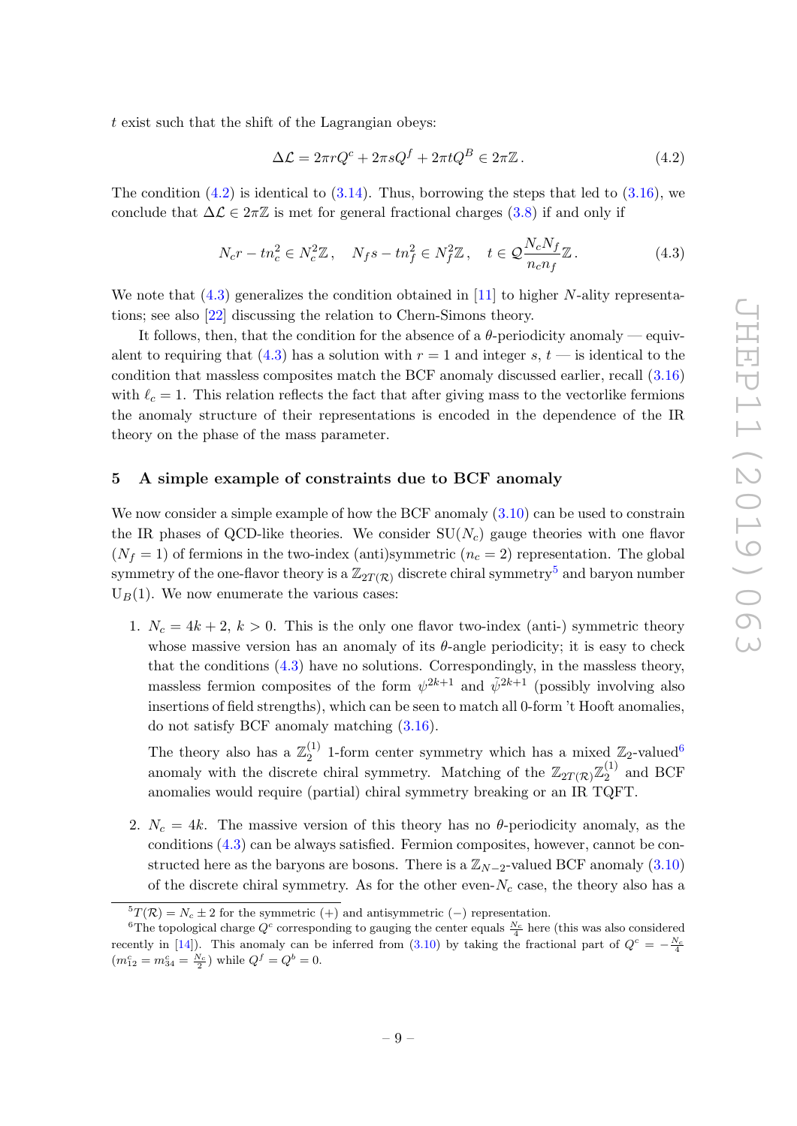t exist such that the shift of the Lagrangian obeys:

<span id="page-10-2"></span>
$$
\Delta \mathcal{L} = 2\pi r Q^c + 2\pi s Q^f + 2\pi t Q^B \in 2\pi \mathbb{Z} \,. \tag{4.2}
$$

The condition  $(4.2)$  is identical to  $(3.14)$ . Thus, borrowing the steps that led to  $(3.16)$ , we conclude that  $\Delta \mathcal{L} \in 2\pi \mathbb{Z}$  is met for general fractional charges [\(3.8\)](#page-6-3) if and only if

<span id="page-10-1"></span>
$$
N_c r - t n_c^2 \in N_c^2 \mathbb{Z}, \quad N_f s - t n_f^2 \in N_f^2 \mathbb{Z}, \quad t \in \mathcal{Q} \frac{N_c N_f}{n_c n_f} \mathbb{Z}. \tag{4.3}
$$

We note that  $(4.3)$  generalizes the condition obtained in [\[11\]](#page-13-5) to higher N-ality representations; see also [\[22\]](#page-13-9) discussing the relation to Chern-Simons theory.

It follows, then, that the condition for the absence of a  $\theta$ -periodicity anomaly — equivalent to requiring that  $(4.3)$  has a solution with  $r = 1$  and integer s,  $t$  — is identical to the condition that massless composites match the BCF anomaly discussed earlier, recall [\(3.16\)](#page-8-0) with  $\ell_c = 1$ . This relation reflects the fact that after giving mass to the vectorlike fermions the anomaly structure of their representations is encoded in the dependence of the IR theory on the phase of the mass parameter.

#### <span id="page-10-0"></span>5 A simple example of constraints due to BCF anomaly

We now consider a simple example of how the BCF anomaly  $(3.10)$  can be used to constrain the IR phases of QCD-like theories. We consider  $SU(N_c)$  gauge theories with one flavor  $(N_f = 1)$  of fermions in the two-index (anti)symmetric  $(n_c = 2)$  representation. The global symmetry of the one-flavor theory is a  $\mathbb{Z}_{2T(\mathcal{R})}$  discrete chiral symmetry<sup>[5](#page-10-3)</sup> and baryon number  $U_B(1)$ . We now enumerate the various cases:

1.  $N_c = 4k + 2$ ,  $k > 0$ . This is the only one flavor two-index (anti-) symmetric theory whose massive version has an anomaly of its  $\theta$ -angle periodicity; it is easy to check that the conditions [\(4.3\)](#page-10-1) have no solutions. Correspondingly, in the massless theory, massless fermion composites of the form  $\psi^{2k+1}$  and  $\tilde{\psi}^{2k+1}$  (possibly involving also insertions of field strengths), which can be seen to match all 0-form 't Hooft anomalies, do not satisfy BCF anomaly matching [\(3.16\)](#page-8-0).

The theory also has a  $\mathbb{Z}_2^{(1)}$  $\binom{1}{2}$  1-form center symmetry which has a mixed  $\mathbb{Z}_2$ -valued<sup>[6](#page-10-4)</sup> anomaly with the discrete chiral symmetry. Matching of the  $\mathbb{Z}_{2T(\mathcal{R})}\mathbb{Z}_2^{(1)}$  $_{2}^{(1)}$  and BCF anomalies would require (partial) chiral symmetry breaking or an IR TQFT.

2.  $N_c = 4k$ . The massive version of this theory has no  $\theta$ -periodicity anomaly, as the conditions [\(4.3\)](#page-10-1) can be always satisfied. Fermion composites, however, cannot be constructed here as the baryons are bosons. There is a  $\mathbb{Z}_{N-2}$ -valued BCF anomaly [\(3.10\)](#page-7-2) of the discrete chiral symmetry. As for the other even- $N_c$  case, the theory also has a

<span id="page-10-4"></span><span id="page-10-3"></span> ${}^{5}T(\mathcal{R}) = N_c \pm 2$  for the symmetric (+) and antisymmetric (-) representation.

<sup>&</sup>lt;sup>6</sup>The topological charge  $Q^c$  corresponding to gauging the center equals  $\frac{N_c}{4}$  here (this was also considered recently in [\[14\]](#page-13-6)). This anomaly can be inferred from [\(3.10\)](#page-7-2) by taking the fractional part of  $Q^c = -\frac{N_c}{4}$  $(m_{12}^c = m_{34}^c = \frac{N_c}{2})$  while  $Q^f = Q^b = 0$ .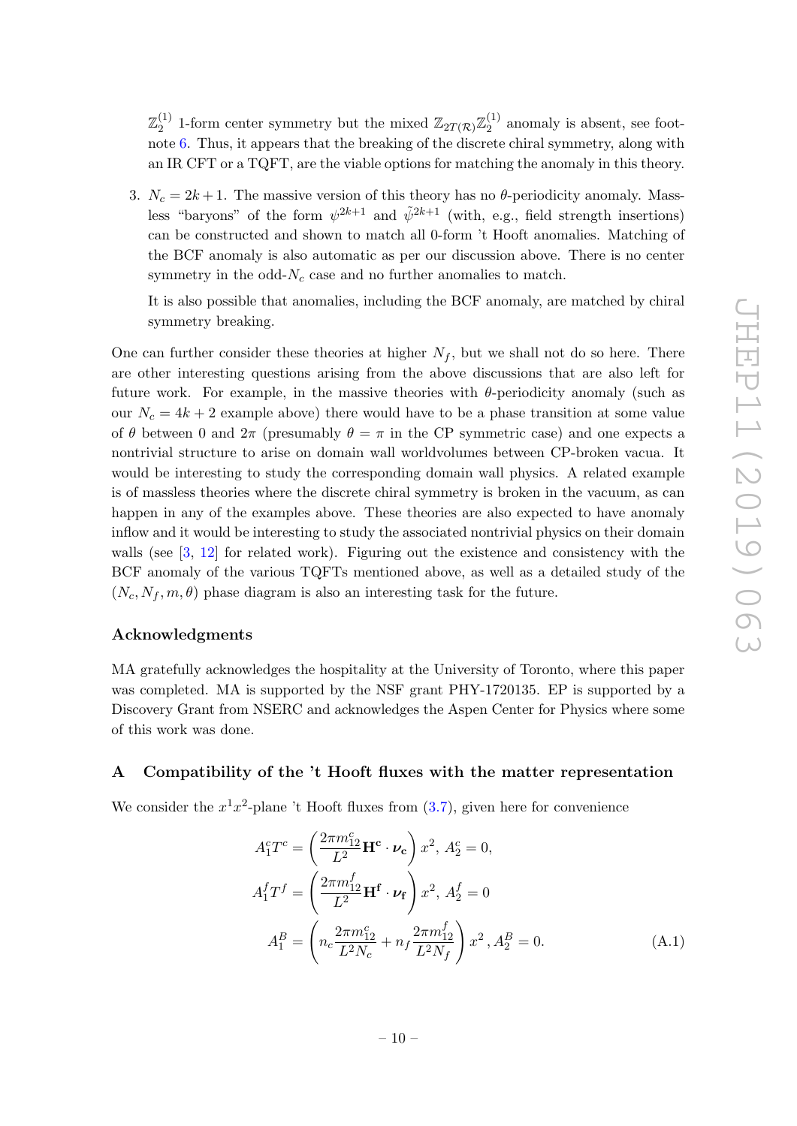$\mathbb{Z}_2^{(1)}$  $\mathbb{Z}_2^{(1)}$  1-form center symmetry but the mixed  $\mathbb{Z}_{2T(\mathcal{R})}\mathbb{Z}_2^{(1)}$  $_2^{(1)}$  anomaly is absent, see footnote [6.](#page-10-4) Thus, it appears that the breaking of the discrete chiral symmetry, along with an IR CFT or a TQFT, are the viable options for matching the anomaly in this theory.

3.  $N_c = 2k + 1$ . The massive version of this theory has no  $\theta$ -periodicity anomaly. Massless "baryons" of the form  $\psi^{2k+1}$  and  $\tilde{\psi}^{2k+1}$  (with, e.g., field strength insertions) can be constructed and shown to match all 0-form 't Hooft anomalies. Matching of the BCF anomaly is also automatic as per our discussion above. There is no center symmetry in the odd- $N_c$  case and no further anomalies to match.

It is also possible that anomalies, including the BCF anomaly, are matched by chiral symmetry breaking.

One can further consider these theories at higher  $N_f$ , but we shall not do so here. There are other interesting questions arising from the above discussions that are also left for future work. For example, in the massive theories with  $\theta$ -periodicity anomaly (such as our  $N_c = 4k + 2$  example above) there would have to be a phase transition at some value of  $\theta$  between 0 and  $2\pi$  (presumably  $\theta = \pi$  in the CP symmetric case) and one expects a nontrivial structure to arise on domain wall worldvolumes between CP-broken vacua. It would be interesting to study the corresponding domain wall physics. A related example is of massless theories where the discrete chiral symmetry is broken in the vacuum, as can happen in any of the examples above. These theories are also expected to have anomaly inflow and it would be interesting to study the associated nontrivial physics on their domain walls (see [\[3,](#page-12-2) [12\]](#page-13-10) for related work). Figuring out the existence and consistency with the BCF anomaly of the various TQFTs mentioned above, as well as a detailed study of the  $(N_c, N_f, m, \theta)$  phase diagram is also an interesting task for the future.

#### Acknowledgments

MA gratefully acknowledges the hospitality at the University of Toronto, where this paper was completed. MA is supported by the NSF grant PHY-1720135. EP is supported by a Discovery Grant from NSERC and acknowledges the Aspen Center for Physics where some of this work was done.

### <span id="page-11-0"></span>A Compatibility of the 't Hooft fluxes with the matter representation

We consider the  $x^1x^2$ -plane 't Hooft fluxes from  $(3.7)$ , given here for convenience

<span id="page-11-1"></span>
$$
A_1^c T^c = \left(\frac{2\pi m_{12}^c}{L^2} \mathbf{H}^c \cdot \boldsymbol{\nu_c}\right) x^2, A_2^c = 0,
$$
  
\n
$$
A_1^f T^f = \left(\frac{2\pi m_{12}^f}{L^2} \mathbf{H}^f \cdot \boldsymbol{\nu_f}\right) x^2, A_2^f = 0
$$
  
\n
$$
A_1^B = \left(n_c \frac{2\pi m_{12}^c}{L^2 N_c} + n_f \frac{2\pi m_{12}^f}{L^2 N_f}\right) x^2, A_2^B = 0.
$$
\n(A.1)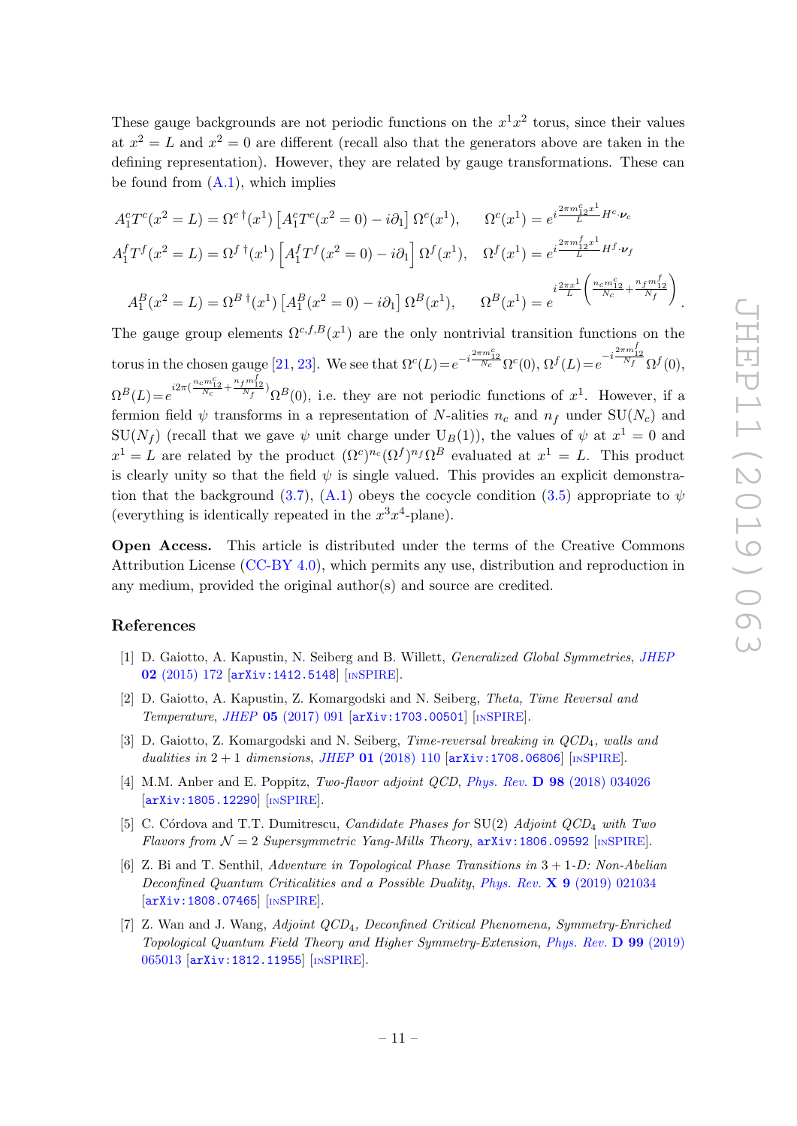.

These gauge backgrounds are not periodic functions on the  $x^1x^2$  torus, since their values at  $x^2 = L$  and  $x^2 = 0$  are different (recall also that the generators above are taken in the defining representation). However, they are related by gauge transformations. These can be found from  $(A.1)$ , which implies

$$
A_1^c T^c(x^2 = L) = \Omega^{c \dagger}(x^1) \left[ A_1^c T^c(x^2 = 0) - i \partial_1 \right] \Omega^c(x^1), \qquad \Omega^c(x^1) = e^{i \frac{2 \pi m_{12}^c x^1}{L} H^c \cdot \nu_c}
$$
  
\n
$$
A_1^f T^f(x^2 = L) = \Omega^{f \dagger}(x^1) \left[ A_1^f T^f(x^2 = 0) - i \partial_1 \right] \Omega^f(x^1), \qquad \Omega^f(x^1) = e^{i \frac{2 \pi m_{12}^f x^1}{L} H^f \cdot \nu_f}
$$
  
\n
$$
A_1^B(x^2 = L) = \Omega^{B \dagger}(x^1) \left[ A_1^B(x^2 = 0) - i \partial_1 \right] \Omega^B(x^1), \qquad \Omega^B(x^1) = e^{i \frac{2 \pi x^1}{L} \left( \frac{n_c m_{12}^c}{N_c} + \frac{n_f m_{12}^f}{N_f} \right)}
$$

The gauge group elements  $\Omega^{c,f,B}(x^1)$  are the only nontrivial transition functions on the torus in the chosen gauge [\[21,](#page-13-4) [23\]](#page-13-11). We see that  $\Omega^{c}(L) = e^{-i\frac{2\pi m_{12}^{c}}{N_c}} \Omega^{c}(0), \Omega^{f}(L) = e^{-i\frac{2\pi m_{12}^{f}}{N_f}} \Omega^{f}(0),$  $\Omega^{B}(L) = e^{i2\pi(\frac{n_c m_{12}^c}{N_c} + \frac{n_f m_{12}^f}{N_f})} \Omega^{B}(0)$ , i.e. they are not periodic functions of  $x^1$ . However, if a fermion field  $\psi$  transforms in a representation of N-alities  $n_c$  and  $n_f$  under SU( $N_c$ ) and  $SU(N_f)$  (recall that we gave  $\psi$  unit charge under  $U_B(1)$ ), the values of  $\psi$  at  $x^1 = 0$  and  $x^1 = L$  are related by the product  $(\Omega^c)^{n_c} (\Omega^f)^{n_f} \Omega^B$  evaluated at  $x^1 = L$ . This product is clearly unity so that the field  $\psi$  is single valued. This provides an explicit demonstra-tion that the background [\(3.7\)](#page-6-0), [\(A.1\)](#page-11-1) obeys the cocycle condition [\(3.5\)](#page-5-1) appropriate to  $\psi$ (everything is identically repeated in the  $x^3x^4$ -plane).

Open Access. This article is distributed under the terms of the Creative Commons Attribution License [\(CC-BY 4.0\)](https://creativecommons.org/licenses/by/4.0/), which permits any use, distribution and reproduction in any medium, provided the original author(s) and source are credited.

#### References

- <span id="page-12-0"></span>[1] D. Gaiotto, A. Kapustin, N. Seiberg and B. Willett, Generalized Global Symmetries, [JHEP](https://doi.org/10.1007/JHEP02(2015)172) 02 [\(2015\) 172](https://doi.org/10.1007/JHEP02(2015)172) [[arXiv:1412.5148](https://arxiv.org/abs/1412.5148)] [IN[SPIRE](https://inspirehep.net/search?p=find+EPRINT+arXiv:1412.5148)].
- <span id="page-12-1"></span>[2] D. Gaiotto, A. Kapustin, Z. Komargodski and N. Seiberg, Theta, Time Reversal and Temperature, JHEP 05 [\(2017\) 091](https://doi.org/10.1007/JHEP05(2017)091) [[arXiv:1703.00501](https://arxiv.org/abs/1703.00501)] [IN[SPIRE](https://inspirehep.net/search?p=find+EPRINT+arXiv:1703.00501)].
- <span id="page-12-2"></span>[3] D. Gaiotto, Z. Komargodski and N. Seiberg, *Time-reversal breaking in QCD<sub>4</sub>*, walls and dualities in  $2 + 1$  dimensions, JHEP 01 [\(2018\) 110](https://doi.org/10.1007/JHEP01(2018)110)  $[\text{arXiv}:1708.06806]$  [IN[SPIRE](https://inspirehep.net/search?p=find+EPRINT+arXiv:1708.06806)].
- [4] M.M. Anber and E. Poppitz, Two-flavor adjoint QCD, Phys. Rev. D 98 [\(2018\) 034026](https://doi.org/10.1103/PhysRevD.98.034026) [[arXiv:1805.12290](https://arxiv.org/abs/1805.12290)] [IN[SPIRE](https://inspirehep.net/search?p=find+EPRINT+arXiv:1805.12290)].
- [5] C. Córdova and T.T. Dumitrescu, *Candidate Phases for*  $SU(2)$  *Adjoint QCD<sub>4</sub> with Two* Flavors from  $\mathcal{N} = 2$  Supersymmetric Yang-Mills Theory,  $arXiv:1806.09592$  [IN[SPIRE](https://inspirehep.net/search?p=find+EPRINT+arXiv:1806.09592)].
- [6] Z. Bi and T. Senthil, Adventure in Topological Phase Transitions in 3 + 1-D: Non-Abelian Deconfined Quantum Criticalities and a Possible Duality, Phys. Rev. **X 9** [\(2019\) 021034](https://doi.org/10.1103/PhysRevX.9.021034) [[arXiv:1808.07465](https://arxiv.org/abs/1808.07465)] [IN[SPIRE](https://inspirehep.net/search?p=find+EPRINT+arXiv:1808.07465)].
- <span id="page-12-3"></span>[7] Z. Wan and J. Wang, Adjoint QCD4, Deconfined Critical Phenomena, Symmetry-Enriched Topological Quantum Field Theory and Higher Symmetry-Extension, [Phys. Rev.](https://doi.org/10.1103/PhysRevD.99.065013) D 99 (2019) [065013](https://doi.org/10.1103/PhysRevD.99.065013) [[arXiv:1812.11955](https://arxiv.org/abs/1812.11955)] [IN[SPIRE](https://inspirehep.net/search?p=find+EPRINT+arXiv:1812.11955)].